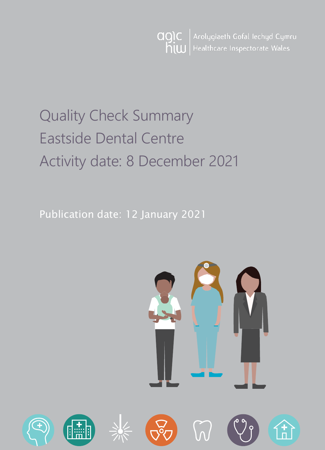Arolygiaeth Gofal Iechyd Cymru agic hiw Healthcare Inspectorate Wales

# Quality Check Summary Eastside Dental Centre Activity date: 8 December 2021

Publication date: 12 January 2021

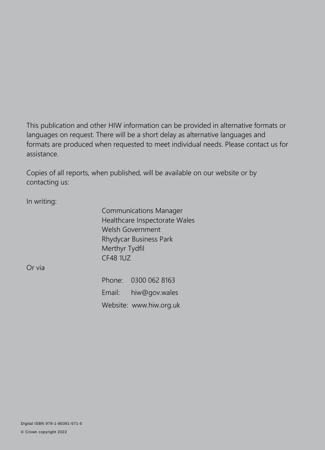This publication and other HIW information can be provided in alternative formats or languages on request. There will be a short delay as alternative languages and formats are produced when requested to meet individual needs. Please contact us for assistance.

Copies of all reports, when published, will be available on our website or by contacting us:

In writing:

Communications Manager Healthcare Inspectorate Wales Welsh Government Rhydycar Business Park Merthyr Tydfil CF48 1UZ

Or via

Phone: 0300 062 8163 Email: [hiw@gov.wales](mailto:hiw@gov.wales) Website: [www.hiw.org.uk](http://www.hiw.org.uk/)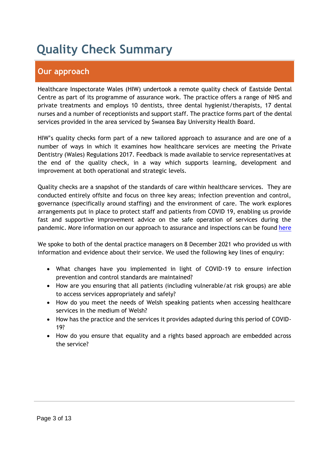# **Quality Check Summary**

## **Our approach**

Healthcare Inspectorate Wales (HIW) undertook a remote quality check of Eastside Dental Centre as part of its programme of assurance work. The practice offers a range of NHS and private treatments and employs 10 dentists, three dental hygienist/therapists, 17 dental nurses and a number of receptionists and support staff. The practice forms part of the dental services provided in the area serviced by Swansea Bay University Health Board.

HIW's quality checks form part of a new tailored approach to assurance and are one of a number of ways in which it examines how healthcare services are meeting the Private Dentistry (Wales) Regulations 2017. Feedback is made available to service representatives at the end of the quality check, in a way which supports learning, development and improvement at both operational and strategic levels.

Quality checks are a snapshot of the standards of care within healthcare services. They are conducted entirely offsite and focus on three key areas; infection prevention and control, governance (specifically around staffing) and the environment of care. The work explores arrangements put in place to protect staff and patients from COVID 19, enabling us provide fast and supportive improvement advice on the safe operation of services during the pandemic. More information on our approach to assurance and inspections can be found [here](https://hiw.org.uk/covid-19-response-and-our-approach-assurance-and-inspection)

We spoke to both of the dental practice managers on 8 December 2021 who provided us with information and evidence about their service. We used the following key lines of enquiry:

- What changes have you implemented in light of COVID-19 to ensure infection prevention and control standards are maintained?
- How are you ensuring that all patients (including vulnerable/at risk groups) are able to access services appropriately and safely?
- How do you meet the needs of Welsh speaking patients when accessing healthcare services in the medium of Welsh?
- How has the practice and the services it provides adapted during this period of COVID-19?
- How do you ensure that equality and a rights based approach are embedded across the service?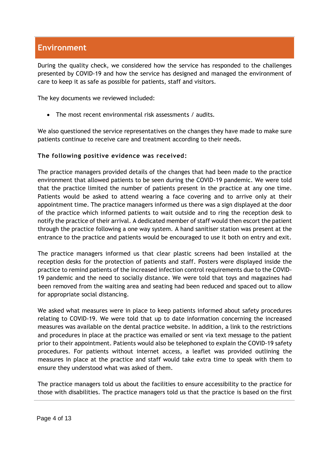### **Environment**

During the quality check, we considered how the service has responded to the challenges presented by COVID-19 and how the service has designed and managed the environment of care to keep it as safe as possible for patients, staff and visitors.

The key documents we reviewed included:

The most recent environmental risk assessments / audits.

We also questioned the service representatives on the changes they have made to make sure patients continue to receive care and treatment according to their needs.

#### **The following positive evidence was received:**

The practice managers provided details of the changes that had been made to the practice environment that allowed patients to be seen during the COVID-19 pandemic. We were told that the practice limited the number of patients present in the practice at any one time. Patients would be asked to attend wearing a face covering and to arrive only at their appointment time. The practice managers informed us there was a sign displayed at the door of the practice which informed patients to wait outside and to ring the reception desk to notify the practice of their arrival. A dedicated member of staff would then escort the patient through the practice following a one way system. A hand sanitiser station was present at the entrance to the practice and patients would be encouraged to use it both on entry and exit.

The practice managers informed us that clear plastic screens had been installed at the reception desks for the protection of patients and staff. Posters were displayed inside the practice to remind patients of the increased infection control requirements due to the COVID-19 pandemic and the need to socially distance. We were told that toys and magazines had been removed from the waiting area and seating had been reduced and spaced out to allow for appropriate social distancing.

We asked what measures were in place to keep patients informed about safety procedures relating to COVID-19. We were told that up to date information concerning the increased measures was available on the dental practice website. In addition, a link to the restrictions and procedures in place at the practice was emailed or sent via text message to the patient prior to their appointment. Patients would also be telephoned to explain the COVID-19 safety procedures. For patients without internet access, a leaflet was provided outlining the measures in place at the practice and staff would take extra time to speak with them to ensure they understood what was asked of them.

The practice managers told us about the facilities to ensure accessibility to the practice for those with disabilities. The practice managers told us that the practice is based on the first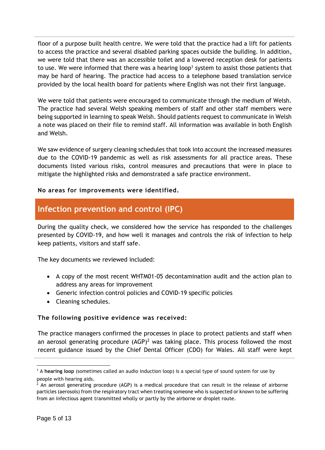floor of a purpose built health centre. We were told that the practice had a lift for patients to access the practice and several disabled parking spaces outside the building. In addition, we were told that there was an accessible toilet and a lowered reception desk for patients to use. We were informed that there was a hearing loop<sup>1</sup> system to assist those patients that may be hard of hearing. The practice had access to a telephone based translation service provided by the local health board for patients where English was not their first language.

We were told that patients were encouraged to communicate through the medium of Welsh. The practice had several Welsh speaking members of staff and other staff members were being supported in learning to speak Welsh. Should patients request to communicate in Welsh a note was placed on their file to remind staff. All information was available in both English and Welsh.

We saw evidence of surgery cleaning schedules that took into account the increased measures due to the COVID-19 pandemic as well as risk assessments for all practice areas. These documents listed various risks, control measures and precautions that were in place to mitigate the highlighted risks and demonstrated a safe practice environment.

#### **No areas for improvements were identified.**

### **Infection prevention and control (IPC)**

During the quality check, we considered how the service has responded to the challenges presented by COVID-19, and how well it manages and controls the risk of infection to help keep patients, visitors and staff safe.

The key documents we reviewed included:

- A copy of the most recent WHTM01-05 decontamination audit and the action plan to address any areas for improvement
- Generic infection control policies and COVID-19 specific policies
- Cleaning schedules.

#### **The following positive evidence was received:**

The practice managers confirmed the processes in place to protect patients and staff when an aerosol generating procedure  $(AGP)^2$  was taking place. This process followed the most recent guidance issued by the Chief Dental Officer (CDO) for Wales. All staff were kept

 $\overline{a}$ 

<sup>1</sup> A **hearing loop** (sometimes called an audio induction loop) is a special type of sound system for use by people with hearing aids.

 $<sup>2</sup>$  An aerosol generating procedure (AGP) is a medical procedure that can result in the release of airborne</sup> particles (aerosols) from the respiratory tract when treating someone who is suspected or known to be suffering from an infectious agent transmitted wholly or partly by the airborne or droplet route.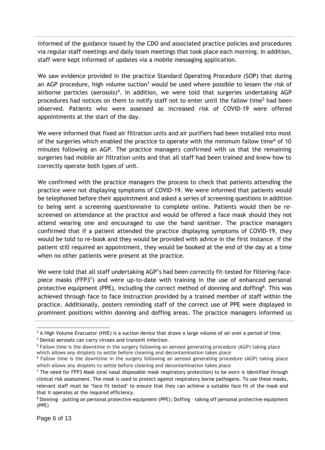informed of the guidance issued by the CDO and associated practice policies and procedures via regular staff meetings and daily team meetings that took place each morning. In addition, staff were kept informed of updates via a mobile messaging application.

We saw evidence provided in the practice Standard Operating Procedure (SOP) that during an AGP procedure, high volume suction<sup>3</sup> would be used where possible to lessen the risk of airborne particles (aerosols)<sup>4</sup>. In addition, we were told that surgeries undertaking AGP procedures had notices on them to notify staff not to enter until the fallow time<sup>5</sup> had been observed. Patients who were assessed as increased risk of COVID-19 were offered appointments at the start of the day.

We were informed that fixed air filtration units and air purifiers had been installed into most of the surgeries which enabled the practice to operate with the minimum fallow time<sup>6</sup> of 10 minutes following an AGP. The practice managers confirmed with us that the remaining surgeries had mobile air filtration units and that all staff had been trained and knew how to correctly operate both types of unit.

We confirmed with the practice managers the process to check that patients attending the practice were not displaying symptoms of COVID-19. We were informed that patients would be telephoned before their appointment and asked a series of screening questions in addition to being sent a screening questionnaire to complete online. Patients would then be rescreened on attendance at the practice and would be offered a face mask should they not attend wearing one and encouraged to use the hand sanitiser. The practice managers confirmed that if a patient attended the practice displaying symptoms of COVID-19, they would be told to re-book and they would be provided with advice in the first instance. If the patient still required an appointment, they would be booked at the end of the day at a time when no other patients were present at the practice.

We were told that all staff undertaking AGP's had been correctly fit-tested for filtering-facepiece masks (FFP3<sup>7</sup>) and were up-to-date with training in the use of enhanced personal protective equipment (PPE), including the correct method of donning and doffing<sup>8</sup>. This was achieved through face to face instruction provided by a trained member of staff within the practice. Additionally, posters reminding staff of the correct use of PPE were displayed in prominent positions within donning and doffing areas. The practice managers informed us

 <sup>3</sup> A High Volume Evacuator (HVE) is a suction device that draws a large volume of air over a period of time.

<sup>4</sup> Dental aerosols can carry viruses and transmit infection.

<sup>5</sup> Fallow time is the downtime in the surgery following an aerosol generating procedure (AGP) taking place which allows any droplets to settle before cleaning and decontamination takes place

<sup>6</sup> Fallow time is the downtime in the surgery following an aerosol generating procedure (AGP) taking place which allows any droplets to settle before cleaning and decontamination takes place

 $7$  The need for FFP3 Mask (oral nasal disposable mask respiratory protection) to be worn is identified through clinical risk assessment. The mask is used to protect against respiratory borne pathogens. To use these masks, relevant staff must be 'face fit tested' to ensure that they can achieve a suitable face fit of the mask and that it operates at the required efficiency.

<sup>&</sup>lt;sup>8</sup> Donning - putting on personal protective equipment (PPE); Doffing - taking off personal protective equipment (PPE)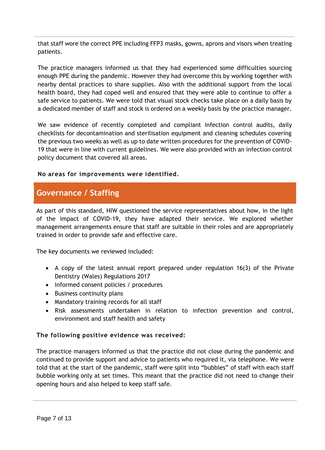that staff wore the correct PPE including FFP3 masks, gowns, aprons and visors when treating patients.

The practice managers informed us that they had experienced some difficulties sourcing enough PPE during the pandemic. However they had overcome this by working together with nearby dental practices to share supplies. Also with the additional support from the local health board, they had coped well and ensured that they were able to continue to offer a safe service to patients. We were told that visual stock checks take place on a daily basis by a dedicated member of staff and stock is ordered on a weekly basis by the practice manager.

We saw evidence of recently completed and compliant infection control audits, daily checklists for decontamination and sterilisation equipment and cleaning schedules covering the previous two weeks as well as up to date written procedures for the prevention of COVID-19 that were in line with current guidelines. We were also provided with an infection control policy document that covered all areas.

#### **No areas for improvements were identified.**

### **Governance / Staffing**

As part of this standard, HIW questioned the service representatives about how, in the light of the impact of COVID-19, they have adapted their service. We explored whether management arrangements ensure that staff are suitable in their roles and are appropriately trained in order to provide safe and effective care.

The key documents we reviewed included:

- A copy of the latest annual report prepared under regulation 16(3) of the Private Dentistry (Wales) Regulations 2017
- Informed consent policies / procedures
- Business continuity plans
- Mandatory training records for all staff
- Risk assessments undertaken in relation to infection prevention and control, environment and staff health and safety

#### **The following positive evidence was received:**

The practice managers informed us that the practice did not close during the pandemic and continued to provide support and advice to patients who required it, via telephone. We were told that at the start of the pandemic, staff were split into "bubbles" of staff with each staff bubble working only at set times. This meant that the practice did not need to change their opening hours and also helped to keep staff safe.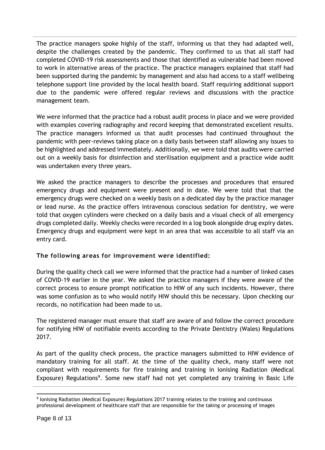The practice managers spoke highly of the staff, informing us that they had adapted well, despite the challenges created by the pandemic. They confirmed to us that all staff had completed COVID-19 risk assessments and those that identified as vulnerable had been moved to work in alternative areas of the practice. The practice managers explained that staff had been supported during the pandemic by management and also had access to a staff wellbeing telephone support line provided by the local health board. Staff requiring additional support due to the pandemic were offered regular reviews and discussions with the practice management team.

We were informed that the practice had a robust audit process in place and we were provided with examples covering radiography and record keeping that demonstrated excellent results. The practice managers informed us that audit processes had continued throughout the pandemic with peer-reviews taking place on a daily basis between staff allowing any issues to be highlighted and addressed immediately. Additionally, we were told that audits were carried out on a weekly basis for disinfection and sterilisation equipment and a practice wide audit was undertaken every three years.

We asked the practice managers to describe the processes and procedures that ensured emergency drugs and equipment were present and in date. We were told that that the emergency drugs were checked on a weekly basis on a dedicated day by the practice manager or lead nurse. As the practice offers intravenous conscious sedation for dentistry, we were told that oxygen cylinders were checked on a daily basis and a visual check of all emergency drugs completed daily. Weekly checks were recorded in a log book alongside drug expiry dates. Emergency drugs and equipment were kept in an area that was accessible to all staff via an entry card.

#### **The following areas for improvement were identified:**

During the quality check call we were informed that the practice had a number of linked cases of COVID-19 earlier in the year. We asked the practice managers if they were aware of the correct process to ensure prompt notification to HIW of any such incidents. However, there was some confusion as to who would notify HIW should this be necessary. Upon checking our records, no notification had been made to us.

The registered manager must ensure that staff are aware of and follow the correct procedure for notifying HIW of notifiable events according to the Private Dentistry (Wales) Regulations 2017.

As part of the quality check process, the practice managers submitted to HIW evidence of mandatory training for all staff. At the time of the quality check, many staff were not compliant with requirements for fire training and training in Ionising Radiation (Medical Exposure) Regulations<sup>9</sup>. Some new staff had not yet completed any training in Basic Life

 9 Ionising Radiation (Medical Exposure) Regulations 2017 training relates to the training and continuous professional development of healthcare staff that are responsible for the taking or processing of images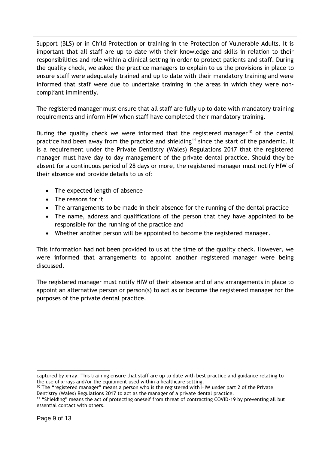Support (BLS) or in Child Protection or training in the Protection of Vulnerable Adults. It is important that all staff are up to date with their knowledge and skills in relation to their responsibilities and role within a clinical setting in order to protect patients and staff. During the quality check, we asked the practice managers to explain to us the provisions in place to ensure staff were adequately trained and up to date with their mandatory training and were informed that staff were due to undertake training in the areas in which they were noncompliant imminently.

The registered manager must ensure that all staff are fully up to date with mandatory training requirements and inform HIW when staff have completed their mandatory training.

During the quality check we were informed that the registered manager<sup>10</sup> of the dental practice had been away from the practice and shielding<sup>11</sup> since the start of the pandemic. It is a requirement under the Private Dentistry (Wales) Regulations 2017 that the registered manager must have day to day management of the private dental practice. Should they be absent for a continuous period of 28 days or more, the registered manager must notify HIW of their absence and provide details to us of:

- The expected length of absence
- The reasons for it
- The arrangements to be made in their absence for the running of the dental practice
- The name, address and qualifications of the person that they have appointed to be responsible for the running of the practice and
- Whether another person will be appointed to become the registered manager.

This information had not been provided to us at the time of the quality check. However, we were informed that arrangements to appoint another registered manager were being discussed.

The registered manager must notify HIW of their absence and of any arrangements in place to appoint an alternative person or person(s) to act as or become the registered manager for the purposes of the private dental practice.

captured by x-ray. This training ensure that staff are up to date with best practice and guidance relating to the use of x-rays and/or the equipment used within a healthcare setting.

 $10$  The "registered manager" means a person who is the registered with HIW under part 2 of the Private Dentistry (Wales) Regulations 2017 to act as the manager of a private dental practice.

<sup>&</sup>lt;sup>11</sup> "Shielding" means the act of protecting oneself from threat of contracting COVID-19 by preventing all but essential contact with others.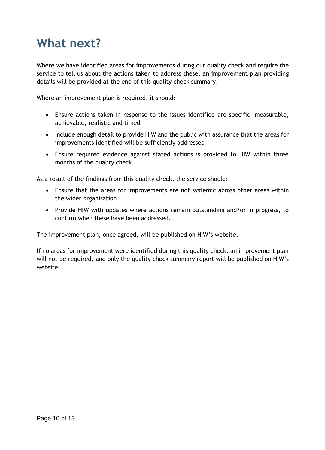# **What next?**

Where we have identified areas for improvements during our quality check and require the service to tell us about the actions taken to address these, an improvement plan providing details will be provided at the end of this quality check summary.

Where an improvement plan is required, it should:

- Ensure actions taken in response to the issues identified are specific, measurable, achievable, realistic and timed
- Include enough detail to provide HIW and the public with assurance that the areas for improvements identified will be sufficiently addressed
- Ensure required evidence against stated actions is provided to HIW within three months of the quality check.

As a result of the findings from this quality check, the service should:

- Ensure that the areas for improvements are not systemic across other areas within the wider organisation
- Provide HIW with updates where actions remain outstanding and/or in progress, to confirm when these have been addressed.

The improvement plan, once agreed, will be published on HIW's website.

If no areas for improvement were identified during this quality check, an improvement plan will not be required, and only the quality check summary report will be published on HIW's website.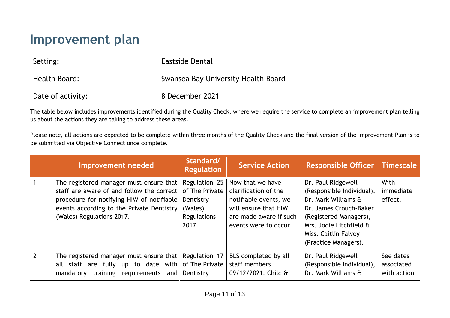# **Improvement plan**

| Setting:          | Eastside Dental                     |
|-------------------|-------------------------------------|
| Health Board:     | Swansea Bay University Health Board |
| Date of activity: | 8 December 2021                     |

The table below includes improvements identified during the Quality Check, where we require the service to complete an improvement plan telling us about the actions they are taking to address these areas.

Please note, all actions are expected to be complete within three months of the Quality Check and the final version of the Improvement Plan is to be submitted via Objective Connect once complete.

|                | Improvement needed                                                                                                                                                                                          | Standard/<br><b>Regulation</b>                                                 | <b>Service Action</b>                                                                                                                        | <b>Responsible Officer   Timescale</b>                                                                                                                                                                |                                        |
|----------------|-------------------------------------------------------------------------------------------------------------------------------------------------------------------------------------------------------------|--------------------------------------------------------------------------------|----------------------------------------------------------------------------------------------------------------------------------------------|-------------------------------------------------------------------------------------------------------------------------------------------------------------------------------------------------------|----------------------------------------|
| $\overline{1}$ | The registered manager must ensure that<br>staff are aware of and follow the correct<br>procedure for notifying HIW of notifiable<br>events according to the Private Dentistry<br>(Wales) Regulations 2017. | Regulation 25<br>of The Private<br>Dentistry<br>(Wales)<br>Regulations<br>2017 | Now that we have<br>clarification of the<br>notifiable events, we<br>will ensure that HIW<br>are made aware if such<br>events were to occur. | Dr. Paul Ridgewell<br>(Responsible Individual),<br>Dr. Mark Williams &<br>Dr. James Crouch-Baker<br>(Registered Managers),<br>Mrs. Jodie Litchfield &<br>Miss. Caitlin Falvey<br>(Practice Managers). | With<br>immediate<br>effect.           |
| $\overline{2}$ | The registered manager must ensure that<br>all staff are fully up to date with<br>requirements<br>training<br>mandatory<br>and                                                                              | Regulation 17<br>of The Private<br>Dentistry                                   | BLS completed by all<br>staff members<br>09/12/2021. Child &                                                                                 | Dr. Paul Ridgewell<br>(Responsible Individual),<br>Dr. Mark Williams &                                                                                                                                | See dates<br>associated<br>with action |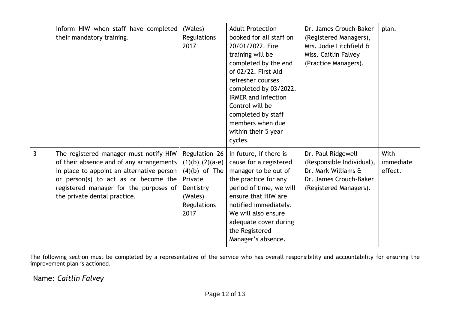|              | inform HIW when staff have completed<br>their mandatory training.                                                                                                                                                                                 | (Wales)<br>Regulations<br>2017                                                                                    | <b>Adult Protection</b><br>booked for all staff on<br>20/01/2022. Fire<br>training will be<br>completed by the end<br>of 02/22. First Aid<br>refresher courses<br>completed by 03/2022.<br><b>IRMER and Infection</b><br>Control will be<br>completed by staff<br>members when due<br>within their 5 year<br>cycles. | Dr. James Crouch-Baker<br>(Registered Managers),<br>Mrs. Jodie Litchfield &<br>Miss. Caitlin Falvey<br>(Practice Managers). | plan.                        |
|--------------|---------------------------------------------------------------------------------------------------------------------------------------------------------------------------------------------------------------------------------------------------|-------------------------------------------------------------------------------------------------------------------|----------------------------------------------------------------------------------------------------------------------------------------------------------------------------------------------------------------------------------------------------------------------------------------------------------------------|-----------------------------------------------------------------------------------------------------------------------------|------------------------------|
| $\mathbf{3}$ | The registered manager must notify HIW<br>of their absence and of any arrangements<br>in place to appoint an alternative person<br>or person(s) to act as or become the<br>registered manager for the purposes of<br>the private dental practice. | Regulation 26<br>$(1)(b)$ $(2)(a-e)$<br>$(4)(b)$ of The<br>Private<br>Dentistry<br>(Wales)<br>Regulations<br>2017 | In future, if there is<br>cause for a registered<br>manager to be out of<br>the practice for any<br>period of time, we will<br>ensure that HIW are<br>notified immediately.<br>We will also ensure<br>adequate cover during<br>the Registered<br>Manager's absence.                                                  | Dr. Paul Ridgewell<br>(Responsible Individual),<br>Dr. Mark Williams &<br>Dr. James Crouch-Baker<br>(Registered Managers).  | With<br>immediate<br>effect. |

The following section must be completed by a representative of the service who has overall responsibility and accountability for ensuring the improvement plan is actioned.

Name: *Caitlin Falvey*